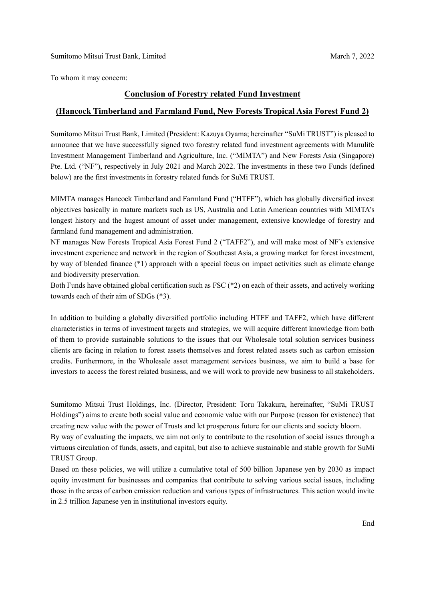To whom it may concern:

## **Conclusion of Forestry related Fund Investment**

## **(Hancock Timberland and Farmland Fund, New Forests Tropical Asia Forest Fund 2)**

Sumitomo Mitsui Trust Bank, Limited (President: Kazuya Oyama; hereinafter "SuMi TRUST") is pleased to announce that we have successfully signed two forestry related fund investment agreements with Manulife Investment Management Timberland and Agriculture, Inc. ("MIMTA") and New Forests Asia (Singapore) Pte. Ltd. ("NF"), respectively in July 2021 and March 2022. The investments in these two Funds (defined below) are the first investments in forestry related funds for SuMi TRUST.

MIMTA manages Hancock Timberland and Farmland Fund ("HTFF"), which has globally diversified invest objectives basically in mature markets such as US, Australia and Latin American countries with MIMTA's longest history and the hugest amount of asset under management, extensive knowledge of forestry and farmland fund management and administration.

NF manages New Forests Tropical Asia Forest Fund 2 ("TAFF2"), and will make most of NF's extensive investment experience and network in the region of Southeast Asia, a growing market for forest investment, by way of blended finance (\*1) approach with a special focus on impact activities such as climate change and biodiversity preservation.

Both Funds have obtained global certification such as FSC (\*2) on each of their assets, and actively working towards each of their aim of SDGs (\*3).

In addition to building a globally diversified portfolio including HTFF and TAFF2, which have different characteristics in terms of investment targets and strategies, we will acquire different knowledge from both of them to provide sustainable solutions to the issues that our Wholesale total solution services business clients are facing in relation to forest assets themselves and forest related assets such as carbon emission credits. Furthermore, in the Wholesale asset management services business, we aim to build a base for investors to access the forest related business, and we will work to provide new business to all stakeholders.

Sumitomo Mitsui Trust Holdings, Inc. (Director, President: Toru Takakura, hereinafter, "SuMi TRUST Holdings") aims to create both social value and economic value with our Purpose (reason for existence) that creating new value with the power of Trusts and let prosperous future for our clients and society bloom.

By way of evaluating the impacts, we aim not only to contribute to the resolution of social issues through a virtuous circulation of funds, assets, and capital, but also to achieve sustainable and stable growth for SuMi TRUST Group.

Based on these policies, we will utilize a cumulative total of 500 billion Japanese yen by 2030 as impact equity investment for businesses and companies that contribute to solving various social issues, including those in the areas of carbon emission reduction and various types of infrastructures. This action would invite in 2.5 trillion Japanese yen in institutional investors equity.